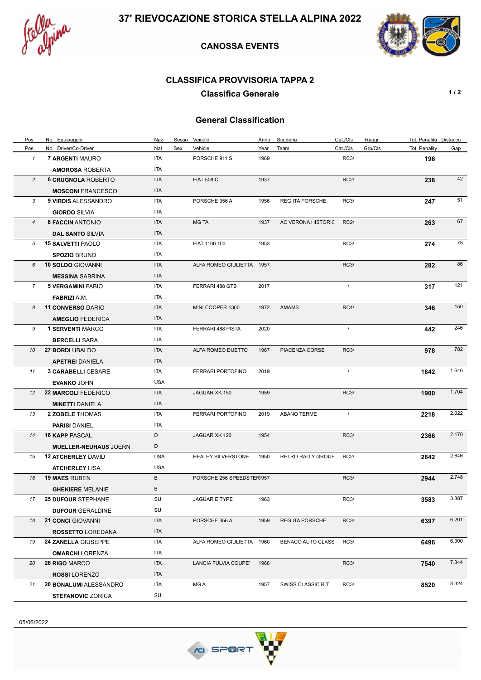

## **CANOSSA EVENTS**



## **CLASSIFICA PROVVISORIA TAPPA 2**

**Classifica Generale 1/2** 

## **General Classification**

| Pos.           | No. Equipaggio               | Naz        | Sesso | Veicolo                   | Anno | Scuderia                 | Cat./Cls    | Raggr.  | Tot. Penalità Distacco |       |
|----------------|------------------------------|------------|-------|---------------------------|------|--------------------------|-------------|---------|------------------------|-------|
| Pos.           | No. Driver/Co-Driver         | Nat        | Sex   | Vehicle                   | Year | Team                     | Cat./Cls    | Grp/Cls | Tot. Penality          | Gap   |
| $\mathbf{1}$   | 7 ARGENTI MAURO              | ITA        |       | PORSCHE 911 S             | 1969 |                          | <b>RC3/</b> |         | 196                    |       |
|                | <b>AMOROSA ROBERTA</b>       | ITA        |       |                           |      |                          |             |         |                        |       |
| $\overline{c}$ | <b>6 CRUGNOLA ROBERTO</b>    | <b>ITA</b> |       | <b>FIAT 508 C</b>         | 1937 |                          | <b>RC2/</b> |         | 238                    | 42    |
|                | <b>MOSCONI FRANCESCO</b>     | <b>ITA</b> |       |                           |      |                          |             |         |                        |       |
| 3              | 9 VIRDIS ALESSANDRO          | ITA        |       | PORSCHE 356 A             | 1956 | <b>REG ITA PORSCHE</b>   | <b>RC3/</b> |         | 247                    | 51    |
|                | <b>GIORDO SILVIA</b>         | ITA        |       |                           |      |                          |             |         |                        |       |
| $\overline{4}$ | <b>8 FACCIN ANTONIO</b>      | ITA        |       | <b>MG TA</b>              | 1937 | AC VERONA HISTORIC       | <b>RC2/</b> |         | 263                    | 67    |
|                | <b>DAL SANTO SILVIA</b>      | <b>ITA</b> |       |                           |      |                          |             |         |                        |       |
| 5              | <b>15 SALVETTI PAOLO</b>     | ITA        |       | FIAT 1100 103             | 1953 |                          | <b>RC3/</b> |         | 274                    | 78    |
|                | <b>SPOZIO BRUNO</b>          | ITA        |       |                           |      |                          |             |         |                        |       |
| 6              | <b>10 SOLDO GIOVANNI</b>     | <b>ITA</b> |       | ALFA ROMEO GIULIETTA 1957 |      |                          | RC3/        |         | 282                    | 86    |
|                | <b>MESSINA SABRINA</b>       | <b>ITA</b> |       |                           |      |                          |             |         |                        |       |
| 7              | <b>5 VERGAMINI FABIO</b>     | ITA        |       | FERRARI 488 GTB           | 2017 |                          | $\prime$    |         | 317                    | 121   |
|                | <b>FABRIZI A.M.</b>          | ITA        |       |                           |      |                          |             |         |                        |       |
| 8              | <b>11 CONVERSO DARIO</b>     | <b>ITA</b> |       | MINI COOPER 1300          | 1972 | <b>AMAMS</b>             | RC4/        |         | 346                    | 150   |
|                | <b>AMEGLIO FEDERICA</b>      | <b>ITA</b> |       |                           |      |                          |             |         |                        |       |
| 9              | <b>1 SERVENTI MARCO</b>      | ITA        |       | FERRARI 488 PISTA         | 2020 |                          | $\prime$    |         | 442                    | 246   |
|                | <b>BERCELLI SARA</b>         | ITA        |       |                           |      |                          |             |         |                        |       |
| 10             | 27 BORDI UBALDO              | <b>ITA</b> |       | ALFA ROMEO DUETTO         | 1967 | PIACENZA CORSE           | <b>RC3/</b> |         | 978                    | 782   |
|                | <b>APETREI DANIELA</b>       | <b>ITA</b> |       |                           |      |                          |             |         |                        |       |
| 11             | <b>3 CARABELLI CESARE</b>    | ITA        |       | FERRARI PORTOFINO         | 2019 |                          | $\prime$    |         | 1842                   | 1.646 |
|                | <b>EVANKO JOHN</b>           | <b>USA</b> |       |                           |      |                          |             |         |                        |       |
| 12             | <b>22 MARCOLI FEDERICO</b>   | <b>ITA</b> |       | JAGUAR XK 150             | 1959 |                          | <b>RC3/</b> |         | 1900                   | 1.704 |
|                | <b>MINETTI DANIELA</b>       | <b>ITA</b> |       |                           |      |                          |             |         |                        |       |
| 13             | <b>2 ZOBELE THOMAS</b>       | ITA        |       | FERRARI PORTOFINO         | 2019 | <b>ABANO TERME</b>       | $\prime$    |         | 2218                   | 2.022 |
|                | <b>PARISI DANIEL</b>         | ITA        |       |                           |      |                          |             |         |                        |       |
| 14             | <b>16 KAPP PASCAL</b>        | D          |       | JAGUAR XK 120             | 1954 |                          | <b>RC3/</b> |         | 2366                   | 2.170 |
|                | <b>MUELLER-NEUHAUS JOERN</b> | D          |       |                           |      |                          |             |         |                        |       |
| 15             | <b>12 ATCHERLEY DAVID</b>    | <b>USA</b> |       | <b>HEALEY SILVERSTONE</b> | 1950 | <b>RETRO RALLY GROUF</b> | <b>RC2/</b> |         | 2842                   | 2.646 |
|                | <b>ATCHERLEY LISA</b>        | <b>USA</b> |       |                           |      |                          |             |         |                        |       |
| 16             | <b>19 MAES RUBEN</b>         | B          |       | PORSCHE 256 SPEEDSTER1957 |      |                          | <b>RC3/</b> |         | 2944                   | 2.748 |
|                | <b>GHEKIERE MELANIE</b>      | B          |       |                           |      |                          |             |         |                        |       |
| 17             | <b>25 DUFOUR STEPHANE</b>    | SUI        |       | JAGUAR E TYPE             | 1963 |                          | <b>RC3/</b> |         | 3583                   | 3.387 |
|                | <b>DUFOUR GERALDINE</b>      | SUI        |       |                           |      |                          |             |         |                        |       |
| 18             | <b>21 CONCI</b> GIOVANNI     | ITA        |       | PORSCHE 356 A             | 1959 | <b>REG ITA PORSCHE</b>   | <b>RC3/</b> |         | 6397                   | 6.201 |
|                | <b>ROSSETTO LOREDANA</b>     | ITA        |       |                           |      |                          |             |         |                        |       |
| 19             | 24 ZANELLA GIUSEPPE          | ITA        |       | ALFA ROMEO GIULIETTA 1960 |      | BENACO AUTO CLASS        | <b>RC3/</b> |         | 6496                   | 6.300 |
|                | <b>OMARCHI LORENZA</b>       | ITA        |       |                           |      |                          |             |         |                        |       |
| 20             | 26 RIGO MARCO                | ITA        |       | LANCIA FULVIA COUPE'      | 1966 |                          | RC3/        |         | 7540                   | 7.344 |
|                | <b>ROSSI LORENZO</b>         | ITA        |       |                           |      |                          |             |         |                        |       |
| 21             | 20 BONALUMI ALESSANDRO       | ITA        |       | MG A                      | 1957 | SWISS CLASSIC RT         | <b>RC3/</b> |         | 8520                   | 8.324 |
|                | <b>STEFANOVIC ZORICA</b>     | SUI        |       |                           |      |                          |             |         |                        |       |

05/06/2022